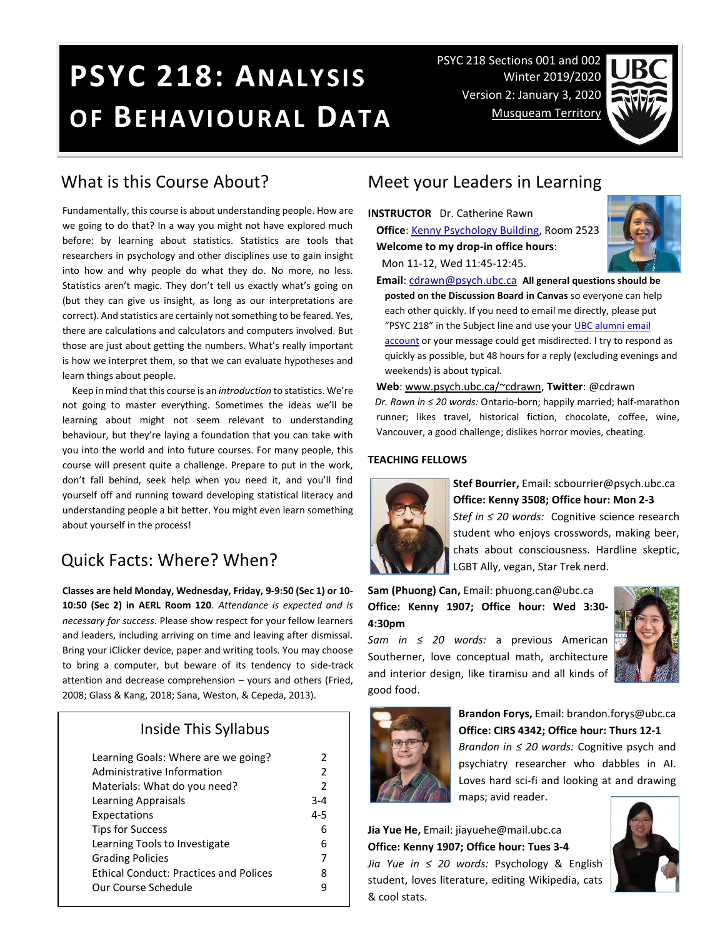# **PSYC 218: ANALYSIS OF BEHAVIOURAL DATA**

PSYC 218 Sections 001 and 002 Winter 2019/2020 Version 2: January 3, 2020 [Musqueam Territory](http://aboriginal.ubc.ca/community-youth/%20musqueam-and-ubc/)



### What is this Course About?

Fundamentally, this course is about understanding people. How are we going to do that? In a way you might not have explored much before: by learning about statistics. Statistics are tools that researchers in psychology and other disciplines use to gain insight into how and why people do what they do. No more, no less. Statistics aren't magic. They don't tell us exactly what's going on (but they can give us insight, as long as our interpretations are correct). And statistics are certainly not something to be feared. Yes, there are calculations and calculators and computers involved. But those are just about getting the numbers. What's really important is how we interpret them, so that we can evaluate hypotheses and learn things about people.

 Keep in mind that this course is an *introduction* to statistics. We're not going to master everything. Sometimes the ideas we'll be learning about might not seem relevant to understanding behaviour, but they're laying a foundation that you can take with you into the world and into future courses. For many people, this course will present quite a challenge. Prepare to put in the work, don't fall behind, seek help when you need it, and you'll find yourself off and running toward developing statistical literacy and understanding people a bit better. You might even learn something about yourself in the process!

# Quick Facts: Where? When?

**Classes are held Monday, Wednesday, Friday, 9-9:50 (Sec 1) or 10- 10:50 (Sec 2) in AERL Room 120**. *Attendance is expected and is necessary for success*. Please show respect for your fellow learners and leaders, including arriving on time and leaving after dismissal. Bring your iClicker device, paper and writing tools. You may choose to bring a computer, but beware of its tendency to side-track attention and decrease comprehension – yours and others (Fried, 2008; Glass & Kang, 2018; Sana, Weston, & Cepeda, 2013).

### Inside This Syllabus

| Learning Goals: Where are we going?<br>Administrative Information | 2<br>2        |
|-------------------------------------------------------------------|---------------|
| Materials: What do you need?                                      | $\mathcal{P}$ |
| Learning Appraisals                                               | $3 - 4$       |
| Expectations                                                      | $4 - 5$       |
| <b>Tips for Success</b>                                           | 6             |
| Learning Tools to Investigate                                     | 6             |
| <b>Grading Policies</b>                                           | 7             |
| <b>Ethical Conduct: Practices and Polices</b>                     | 8             |
| Our Course Schedule                                               | 9             |
|                                                                   |               |

### Meet your Leaders in Learning

**INSTRUCTOR** Dr. Catherine Rawn **Office**[: Kenny Psychology Building,](http://www.maps.ubc.ca/PROD/index_detail.php?locat1=732) Room 2523 **Welcome to my drop-in office hours**: Mon 11-12, Wed 11:45-12:45.



**Email**: [cdrawn@psych.ubc.ca](mailto:cdrawn@psych.ubc.ca) **All general questions should be posted on the Discussion Board in Canvas** so everyone can help each other quickly. If you need to email me directly, please put "PSYC 218" in the Subject line and use your UBC alumni email [account](http://it.ubc.ca/services/email-voice-internet/student-alumni-email-service) or your message could get misdirected. I try to respond as quickly as possible, but 48 hours for a reply (excluding evenings and weekends) is about typical.

**Web**: [www.psych.ubc.ca/~cdrawn,](http://www.psych.ubc.ca/~cdrawn) **Twitter**: @cdrawn *Dr. Rawn in ≤ 20 words:* Ontario-born; happily married; half-marathon runner; likes travel, historical fiction, chocolate, coffee, wine, Vancouver, a good challenge; dislikes horror movies, cheating.

#### **TEACHING FELLOWS**



**Stef Bourrier,** Email: scbourrier@psych.ubc.ca **Office: Kenny 3508; Office hour: Mon 2-3** *Stef in ≤ 20 words:* Cognitive science research student who enjoys crosswords, making beer, chats about consciousness. Hardline skeptic, LGBT Ally, vegan, Star Trek nerd.

**Sam (Phuong) Can,** Email: phuong.can@ubc.ca **Office: Kenny 1907; Office hour: Wed 3:30- 4:30pm**

*Sam in ≤ 20 words:* a previous American Southerner, love conceptual math, architecture and interior design, like tiramisu and all kinds of good food.





**Brandon Forys,** Email: brandon.forys@ubc.ca **Office: CIRS 4342; Office hour: Thurs 12-1**

*Brandon in ≤ 20 words:* Cognitive psych and psychiatry researcher who dabbles in AI. Loves hard sci-fi and looking at and drawing

maps; avid reader.

**Jia Yue He,** Email: jiayuehe@mail.ubc.ca **Office: Kenny 1907; Office hour: Tues 3-4** *Jia Yue in ≤ 20 words:* Psychology & English student, loves literature, editing Wikipedia, cats & cool stats.

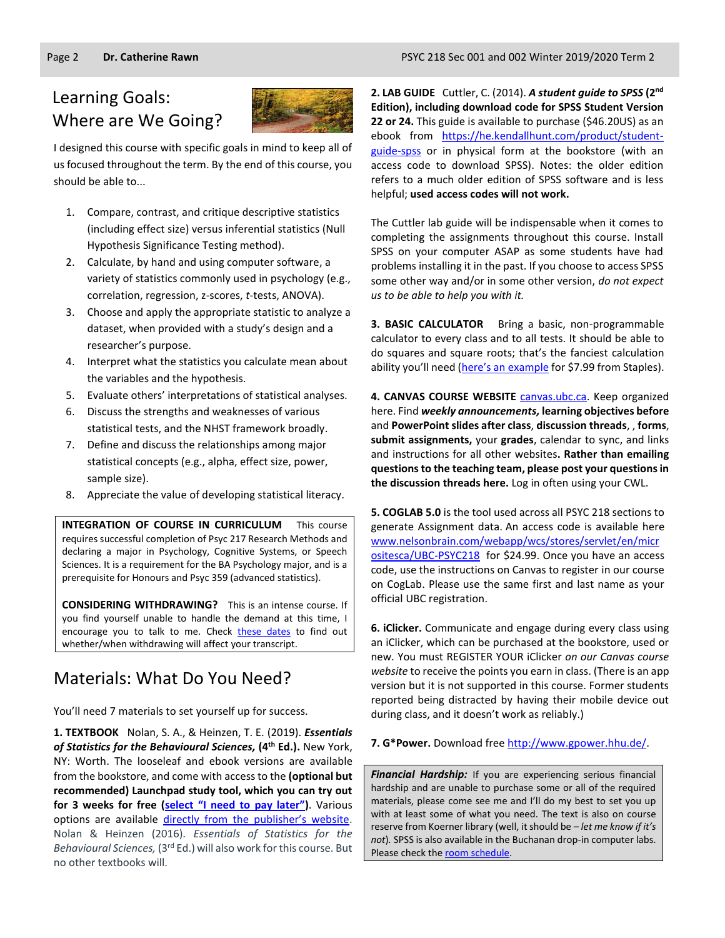# Learning Goals: Where are We Going?



I designed this course with specific goals in mind to keep all of us focused throughout the term. By the end of this course, you should be able to...

- 1. Compare, contrast, and critique descriptive statistics (including effect size) versus inferential statistics (Null Hypothesis Significance Testing method).
- 2. Calculate, by hand and using computer software, a variety of statistics commonly used in psychology (e.g., correlation, regression, z-scores, *t*-tests, ANOVA).
- 3. Choose and apply the appropriate statistic to analyze a dataset, when provided with a study's design and a researcher's purpose.
- 4. Interpret what the statistics you calculate mean about the variables and the hypothesis.
- 5. Evaluate others' interpretations of statistical analyses.
- 6. Discuss the strengths and weaknesses of various statistical tests, and the NHST framework broadly.
- 7. Define and discuss the relationships among major statistical concepts (e.g., alpha, effect size, power, sample size).
- 8. Appreciate the value of developing statistical literacy.

**INTEGRATION OF COURSE IN CURRICULUM** This course requires successful completion of Psyc 217 Research Methods and declaring a major in Psychology, Cognitive Systems, or Speech Sciences. It is a requirement for the BA Psychology major, and is a prerequisite for Honours and Psyc 359 (advanced statistics).

**CONSIDERING WITHDRAWING?** This is an intense course. If you find yourself unable to handle the demand at this time, I encourage you to talk to me. Check [these dates](http://www.calendar.ubc.ca/vancouver/index.cfm?page=deadlines) to find out whether/when withdrawing will affect your transcript.

## Materials: What Do You Need?

You'll need 7 materials to set yourself up for success.

**1. TEXTBOOK** Nolan, S. A., & Heinzen, T. E. (2019). *Essentials of Statistics for the Behavioural Sciences,* **(4 th Ed.).** New York, NY: Worth. The looseleaf and ebook versions are available from the bookstore, and come with access to the **(optional but recommended) Launchpad study tool, which you can try out for 3 weeks for free ([select "I need to pay later"](https://www.macmillanhighered.com/launchpad/nolanessentials4e/11214086))**. Various options are available [directly from the publisher's website](https://store.macmillanlearning.com/ca/product/Essentials-of-Statistics-for-the-Behavioral-Sciences/p/1319143636?searchText=susan%26%23x20%3bnolan). Nolan & Heinzen (2016). *Essentials of Statistics for the Behavioural Sciences,* (3rd Ed.) will also work for this course. But no other textbooks will.

**2. LAB GUIDE** Cuttler, C. (2014). *A student guide to SPSS* **(2nd Edition), including download code for SPSS Student Version 22 or 24.** This guide is available to purchase (\$46.20US) as an ebook from https://he.kendallhunt.com/product/studentguide-spss or in physical form at the bookstore (with an access code to download SPSS). Notes: the older edition refers to a much older edition of SPSS software and is less helpful; **used access codes will not work.**

The Cuttler lab guide will be indispensable when it comes to completing the assignments throughout this course. Install SPSS on your computer ASAP as some students have had problems installing it in the past. If you choose to access SPSS some other way and/or in some other version, *do not expect us to be able to help you with it.*

**3. BASIC CALCULATOR** Bring a basic, non-programmable calculator to every class and to all tests. It should be able to do squares and square roots; that's the fanciest calculation ability you'll need [\(here's an example](https://www.staples.ca/en/Staples-BD-107i-10-Digit-Scientific-Handheld-Calculator/product_506594_1-CA_1_20001) for \$7.99 from Staples).

**4. CANVAS COURSE WEBSITE** [canvas.ubc.ca.](https://canvas.ubc.ca/) Keep organized here. Find *weekly announcements,* **learning objectives before** and **PowerPoint slides after class**, **discussion threads**, , **forms**, **submit assignments,** your **grades**, calendar to sync, and links and instructions for all other websites**. Rather than emailing questions to the teaching team, please post your questions in the discussion threads here.** Log in often using your CWL.

**5. COGLAB 5.0** is the tool used across all PSYC 218 sections to generate Assignment data. An access code is available here [www.nelsonbrain.com/webapp/wcs/stores/servlet/en/micr](http://www.nelsonbrain.com/webapp/wcs/stores/servlet/en/micrositesca/UBC-PSYC218) [ositesca/UBC-PSYC218](http://www.nelsonbrain.com/webapp/wcs/stores/servlet/en/micrositesca/UBC-PSYC218) for \$24.99. Once you have an access code, use the instructions on Canvas to register in our course on CogLab. Please use the same first and last name as your official UBC registration.

**6. iClicker.** Communicate and engage during every class using an iClicker, which can be purchased at the bookstore, used or new. You must REGISTER YOUR iClicker *on our Canvas course website* to receive the points you earn in class. (There is an app version but it is not supported in this course. Former students reported being distracted by having their mobile device out during class, and it doesn't work as reliably.)

**7. G\*Power.** Download free [http://www.gpower.hhu.de/.](http://www.gpower.hhu.de/)

*Financial Hardship:* If you are experiencing serious financial hardship and are unable to purchase some or all of the required materials, please come see me and I'll do my best to set you up with at least some of what you need. The text is also on course reserve from Koerner library (well, it should be – *let me know if it's not*)*.* SPSS is also available in the Buchanan drop-in computer labs. Please check th[e room schedule.](https://isit.arts.ubc.ca/buchanan-b121-drop-in-lab/)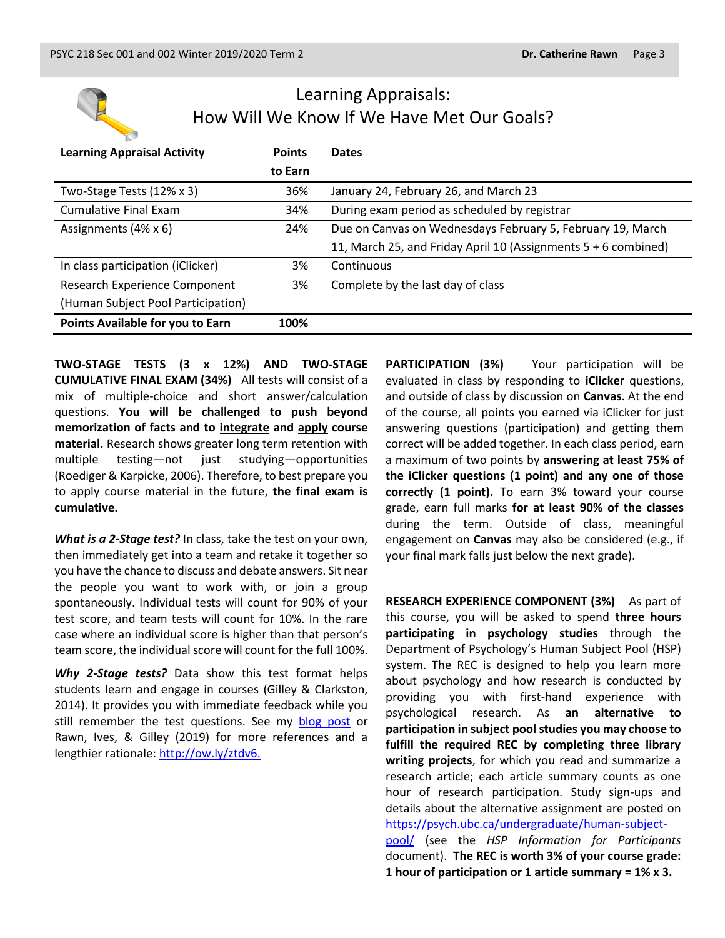

# Learning Appraisals: How Will We Know If We Have Met Our Goals?

| <b>Learning Appraisal Activity</b> | <b>Points</b> | <b>Dates</b>                                                   |
|------------------------------------|---------------|----------------------------------------------------------------|
|                                    | to Earn       |                                                                |
| Two-Stage Tests (12% x 3)          | 36%           | January 24, February 26, and March 23                          |
| <b>Cumulative Final Exam</b>       | 34%           | During exam period as scheduled by registrar                   |
| Assignments (4% x 6)               | 24%           | Due on Canvas on Wednesdays February 5, February 19, March     |
|                                    |               | 11, March 25, and Friday April 10 (Assignments 5 + 6 combined) |
| In class participation (iClicker)  | 3%            | Continuous                                                     |
| Research Experience Component      | 3%            | Complete by the last day of class                              |
| (Human Subject Pool Participation) |               |                                                                |
| Points Available for you to Earn   | 100%          |                                                                |

**TWO-STAGE TESTS (3 x 12%) AND TWO-STAGE CUMULATIVE FINAL EXAM (34%)** All tests will consist of a mix of multiple-choice and short answer/calculation questions. **You will be challenged to push beyond memorization of facts and to integrate and apply course material.** Research shows greater long term retention with multiple testing—not just studying—opportunities (Roediger & Karpicke, 2006). Therefore, to best prepare you to apply course material in the future, **the final exam is cumulative.**

*What is a 2-Stage test?* In class, take the test on your own, then immediately get into a team and retake it together so you have the chance to discuss and debate answers. Sit near the people you want to work with, or join a group spontaneously. Individual tests will count for 90% of your test score, and team tests will count for 10%. In the rare case where an individual score is higher than that person's team score, the individual score will count for the full 100%.

*Why 2-Stage tests?* Data show this test format helps students learn and engage in courses (Gilley & Clarkston, 2014). It provides you with immediate feedback while you still remember the test questions. See my [blog post](http://blogs.ubc.ca/catherinerawn/2014/07/22/two-stage-exam-introduction-and-resources/) or Rawn, Ives, & Gilley (2019) for more references and a lengthier rationale: [http://ow.ly/ztdv6.](http://ow.ly/ztdv6)

**PARTICIPATION (3%)** Your participation will be evaluated in class by responding to **iClicker** questions, and outside of class by discussion on **Canvas**. At the end of the course, all points you earned via iClicker for just answering questions (participation) and getting them correct will be added together. In each class period, earn a maximum of two points by **answering at least 75% of the iClicker questions (1 point) and any one of those correctly (1 point).** To earn 3% toward your course grade, earn full marks **for at least 90% of the classes** during the term. Outside of class, meaningful engagement on **Canvas** may also be considered (e.g., if your final mark falls just below the next grade).

**RESEARCH EXPERIENCE COMPONENT (3%)** As part of this course, you will be asked to spend **three hours participating in psychology studies** through the Department of Psychology's Human Subject Pool (HSP) system. The REC is designed to help you learn more about psychology and how research is conducted by providing you with first-hand experience with psychological research. As **an alternative to participation in subject pool studies you may choose to fulfill the required REC by completing three library writing projects**, for which you read and summarize a research article; each article summary counts as one hour of research participation. Study sign-ups and details about the alternative assignment are posted on [https://psych.ubc.ca/undergraduate/human-subject](https://psych.ubc.ca/undergraduate/human-subject-pool/)[pool/](https://psych.ubc.ca/undergraduate/human-subject-pool/) (see the *HSP Information for Participants* document). **The REC is worth 3% of your course grade: 1 hour of participation or 1 article summary = 1% x 3.**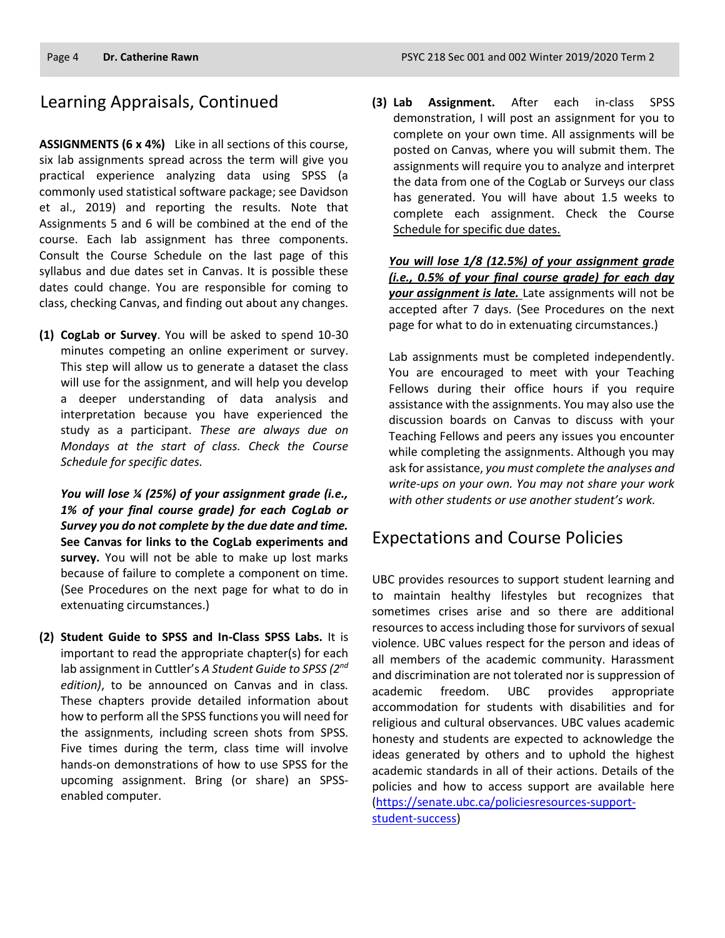### Learning Appraisals, Continued

**ASSIGNMENTS (6 x 4%)** Like in all sections of this course, six lab assignments spread across the term will give you practical experience analyzing data using SPSS (a commonly used statistical software package; see Davidson et al., 2019) and reporting the results. Note that Assignments 5 and 6 will be combined at the end of the course. Each lab assignment has three components. Consult the Course Schedule on the last page of this syllabus and due dates set in Canvas. It is possible these dates could change. You are responsible for coming to class, checking Canvas, and finding out about any changes.

**(1) CogLab or Survey**. You will be asked to spend 10-30 minutes competing an online experiment or survey. This step will allow us to generate a dataset the class will use for the assignment, and will help you develop a deeper understanding of data analysis and interpretation because you have experienced the study as a participant. *These are always due on Mondays at the start of class. Check the Course Schedule for specific dates.*

*You will lose ¼ (25%) of your assignment grade (i.e., 1% of your final course grade) for each CogLab or Survey you do not complete by the due date and time.* **See Canvas for links to the CogLab experiments and survey.** You will not be able to make up lost marks because of failure to complete a component on time. (See Procedures on the next page for what to do in extenuating circumstances.)

**(2) Student Guide to SPSS and In-Class SPSS Labs.** It is important to read the appropriate chapter(s) for each lab assignment in Cuttler's *A Student Guide to SPSS (2nd edition)*, to be announced on Canvas and in class. These chapters provide detailed information about how to perform all the SPSS functions you will need for the assignments, including screen shots from SPSS. Five times during the term, class time will involve hands-on demonstrations of how to use SPSS for the upcoming assignment. Bring (or share) an SPSSenabled computer.

**(3) Lab Assignment.** After each in-class SPSS demonstration, I will post an assignment for you to complete on your own time. All assignments will be posted on Canvas, where you will submit them. The assignments will require you to analyze and interpret the data from one of the CogLab or Surveys our class has generated. You will have about 1.5 weeks to complete each assignment. Check the Course Schedule for specific due dates.

*You will lose 1/8 (12.5%) of your assignment grade (i.e., 0.5% of your final course grade) for each day your assignment is late.* Late assignments will not be accepted after 7 days. (See Procedures on the next page for what to do in extenuating circumstances.)

Lab assignments must be completed independently. You are encouraged to meet with your Teaching Fellows during their office hours if you require assistance with the assignments. You may also use the discussion boards on Canvas to discuss with your Teaching Fellows and peers any issues you encounter while completing the assignments. Although you may ask for assistance, *you must complete the analyses and write-ups on your own. You may not share your work with other students or use another student's work.*

### Expectations and Course Policies

UBC provides resources to support student learning and to maintain healthy lifestyles but recognizes that sometimes crises arise and so there are additional resources to access including those for survivors of sexual violence. UBC values respect for the person and ideas of all members of the academic community. Harassment and discrimination are not tolerated nor is suppression of academic freedom. UBC provides appropriate accommodation for students with disabilities and for religious and cultural observances. UBC values academic honesty and students are expected to acknowledge the ideas generated by others and to uphold the highest academic standards in all of their actions. Details of the policies and how to access support are available here [\(https://senate.ubc.ca/policiesresources-support](https://senate.ubc.ca/policiesresources-support-student-success)[student-success\)](https://senate.ubc.ca/policiesresources-support-student-success)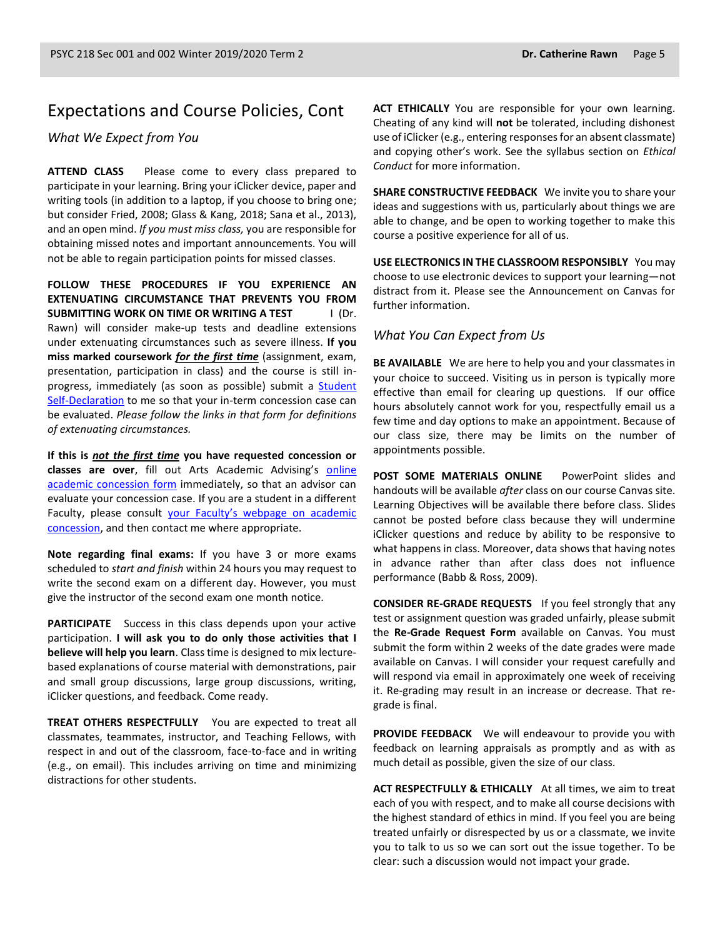### Expectations and Course Policies, Cont

#### *What We Expect from You*

**ATTEND CLASS** Please come to every class prepared to participate in your learning. Bring your iClicker device, paper and writing tools (in addition to a laptop, if you choose to bring one; but consider Fried, 2008; Glass & Kang, 2018; Sana et al., 2013), and an open mind. *If you must miss class,* you are responsible for obtaining missed notes and important announcements. You will not be able to regain participation points for missed classes.

**FOLLOW THESE PROCEDURES IF YOU EXPERIENCE AN EXTENUATING CIRCUMSTANCE THAT PREVENTS YOU FROM SUBMITTING WORK ON TIME OR WRITING A TEST** I (Dr. Rawn) will consider make-up tests and deadline extensions under extenuating circumstances such as severe illness. **If you miss marked coursework** *for the first time* (assignment, exam, presentation, participation in class) and the course is still inprogress, immediately (as soon as possible) submit a [Student](https://students-2016.sites.olt.ubc.ca/files/2019/09/Student-Self-Declaration-Form-1.6-Arts.pdf)  [Self-Declaration](https://students-2016.sites.olt.ubc.ca/files/2019/09/Student-Self-Declaration-Form-1.6-Arts.pdf) to me so that your in-term concession case can be evaluated. *Please follow the links in that form for definitions of extenuating circumstances.*

**If this is** *not the first time* **you have requested concession or**  classes are over, fill out Arts Academic Advising's online [academic concession form](https://students.air.arts.ubc.ca/academic-concession-form/) immediately, so that an advisor can evaluate your concession case. If you are a student in a different Faculty, please consult [your Faculty's webpage on academic](https://students.ubc.ca/enrolment/academic-learning-resources/academic-concessions)  [concession,](https://students.ubc.ca/enrolment/academic-learning-resources/academic-concessions) and then contact me where appropriate.

**Note regarding final exams:** If you have 3 or more exams scheduled to *start and finish* within 24 hours you may request to write the second exam on a different day. However, you must give the instructor of the second exam one month notice.

**PARTICIPATE** Success in this class depends upon your active participation. **I will ask you to do only those activities that I believe will help you learn**. Class time is designed to mix lecturebased explanations of course material with demonstrations, pair and small group discussions, large group discussions, writing, iClicker questions, and feedback. Come ready.

**TREAT OTHERS RESPECTFULLY** You are expected to treat all classmates, teammates, instructor, and Teaching Fellows, with respect in and out of the classroom, face-to-face and in writing (e.g., on email). This includes arriving on time and minimizing distractions for other students.

**ACT ETHICALLY** You are responsible for your own learning. Cheating of any kind will **not** be tolerated, including dishonest use of iClicker (e.g., entering responses for an absent classmate) and copying other's work. See the syllabus section on *Ethical Conduct* for more information.

**SHARE CONSTRUCTIVE FEEDBACK** We invite you to share your ideas and suggestions with us, particularly about things we are able to change, and be open to working together to make this course a positive experience for all of us.

**USE ELECTRONICS IN THE CLASSROOM RESPONSIBLY** You may choose to use electronic devices to support your learning—not distract from it. Please see the Announcement on Canvas for further information.

#### *What You Can Expect from Us*

**BE AVAILABLE** We are here to help you and your classmates in your choice to succeed. Visiting us in person is typically more effective than email for clearing up questions. If our office hours absolutely cannot work for you, respectfully email us a few time and day options to make an appointment. Because of our class size, there may be limits on the number of appointments possible.

**POST SOME MATERIALS ONLINE** PowerPoint slides and handouts will be available *after* class on our course Canvas site. Learning Objectives will be available there before class. Slides cannot be posted before class because they will undermine iClicker questions and reduce by ability to be responsive to what happens in class. Moreover, data shows that having notes in advance rather than after class does not influence performance (Babb & Ross, 2009).

**CONSIDER RE-GRADE REQUESTS** If you feel strongly that any test or assignment question was graded unfairly, please submit the **Re-Grade Request Form** available on Canvas. You must submit the form within 2 weeks of the date grades were made available on Canvas. I will consider your request carefully and will respond via email in approximately one week of receiving it. Re-grading may result in an increase or decrease. That regrade is final.

**PROVIDE FEEDBACK** We will endeavour to provide you with feedback on learning appraisals as promptly and as with as much detail as possible, given the size of our class.

**ACT RESPECTFULLY & ETHICALLY** At all times, we aim to treat each of you with respect, and to make all course decisions with the highest standard of ethics in mind. If you feel you are being treated unfairly or disrespected by us or a classmate, we invite you to talk to us so we can sort out the issue together. To be clear: such a discussion would not impact your grade.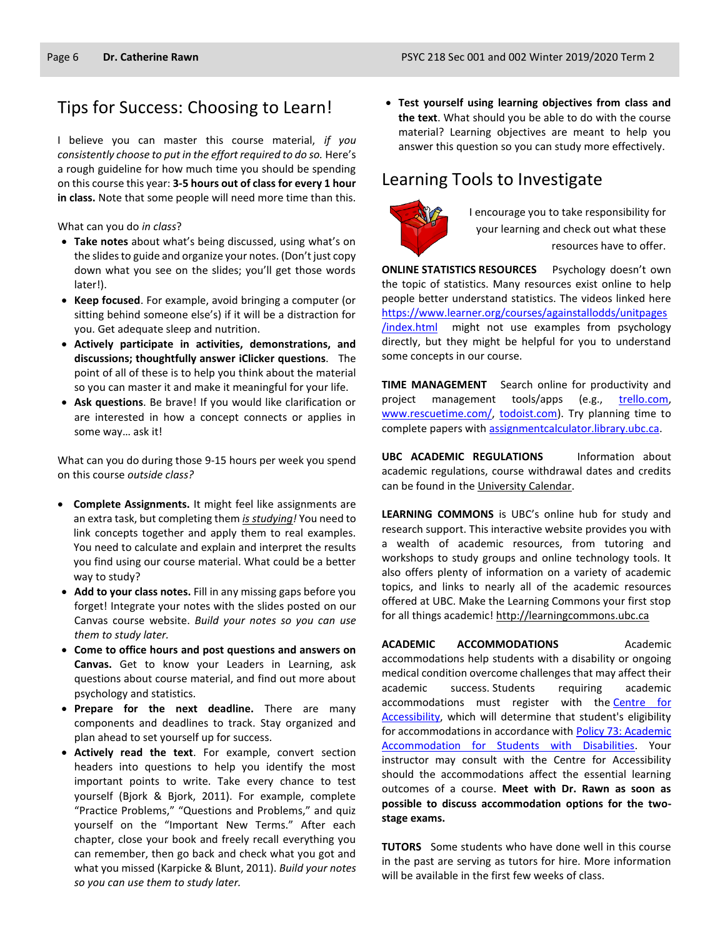### Tips for Success: Choosing to Learn!

I believe you can master this course material, *if you consistently choose to put in the effort required to do so.* Here's a rough guideline for how much time you should be spending on this course this year: **3-5 hours out of class for every 1 hour in class.** Note that some people will need more time than this.

What can you do *in class*?

- **Take notes** about what's being discussed, using what's on the slides to guide and organize your notes. (Don't just copy down what you see on the slides; you'll get those words later!).
- **Keep focused**. For example, avoid bringing a computer (or sitting behind someone else's) if it will be a distraction for you. Get adequate sleep and nutrition.
- **Actively participate in activities, demonstrations, and discussions; thoughtfully answer iClicker questions**. The point of all of these is to help you think about the material so you can master it and make it meaningful for your life.
- **Ask questions**. Be brave! If you would like clarification or are interested in how a concept connects or applies in some way… ask it!

What can you do during those 9-15 hours per week you spend on this course *outside class?*

- **Complete Assignments.** It might feel like assignments are an extra task, but completing them *is studying!* You need to link concepts together and apply them to real examples. You need to calculate and explain and interpret the results you find using our course material. What could be a better way to study?
- **Add to your class notes.** Fill in any missing gaps before you forget! Integrate your notes with the slides posted on our Canvas course website. *Build your notes so you can use them to study later.*
- **Come to office hours and post questions and answers on Canvas.** Get to know your Leaders in Learning, ask questions about course material, and find out more about psychology and statistics.
- **Prepare for the next deadline.** There are many components and deadlines to track. Stay organized and plan ahead to set yourself up for success.
- **Actively read the text**. For example, convert section headers into questions to help you identify the most important points to write. Take every chance to test yourself (Bjork & Bjork, 2011). For example, complete "Practice Problems," "Questions and Problems," and quiz yourself on the "Important New Terms." After each chapter, close your book and freely recall everything you can remember, then go back and check what you got and what you missed (Karpicke & Blunt, 2011). *Build your notes so you can use them to study later.*

• **Test yourself using learning objectives from class and the text**. What should you be able to do with the course material? Learning objectives are meant to help you answer this question so you can study more effectively.

# Learning Tools to Investigate



I encourage you to take responsibility for your learning and check out what these resources have to offer.

**ONLINE STATISTICS RESOURCES** Psychology doesn't own the topic of statistics. Many resources exist online to help people better understand statistics. The videos linked here [https://www.learner.org/courses/againstallodds/unitpages](https://www.learner.org/courses/againstallodds/unitpages/index.html) [/index.html](https://www.learner.org/courses/againstallodds/unitpages/index.html) might not use examples from psychology directly, but they might be helpful for you to understand some concepts in our course.

**TIME MANAGEMENT** Search online for productivity and project management tools/apps (e.g., [trello.com,](http://trello.com/) [www.rescuetime.com/,](http://www.rescuetime.com/) [todoist.com\)](https://todoist.com/). Try planning time to complete papers with [assignmentcalculator.library.ubc.ca.](http://assignmentcalculator.library.ubc.ca/)

**UBC ACADEMIC REGULATIONS** Information about academic regulations, course withdrawal dates and credits can be found in th[e University Calendar.](http://students.ubc.ca/calendar/academicyear.cfm)

**LEARNING COMMONS** is UBC's online hub for study and research support. This interactive website provides you with a wealth of academic resources, from tutoring and workshops to study groups and online technology tools. It also offers plenty of information on a variety of academic topics, and links to nearly all of the academic resources offered at UBC. Make the Learning Commons your first stop for all things academic! [http://learningcommons.ubc.ca](http://learningcommons.ubc.ca/)

**ACADEMIC ACCOMMODATIONS** Academic accommodations help students with a disability or ongoing medical condition overcome challenges that may affect their academic success. Students requiring academic accommodations must register with the Centre for [Accessibility,](https://students.ubc.ca/about-student-services/centre-for-accessibility) which will determine that student's eligibility for accommodations in accordance with [Policy 73: Academic](https://universitycounsel.ubc.ca/files/2019/02/policy73.pdf)  [Accommodation for Students with Disabilities.](https://universitycounsel.ubc.ca/files/2019/02/policy73.pdf) Your instructor may consult with the Centre for Accessibility should the accommodations affect the essential learning outcomes of a course. **Meet with Dr. Rawn as soon as possible to discuss accommodation options for the twostage exams.**

**TUTORS** Some students who have done well in this course in the past are serving as tutors for hire. More information will be available in the first few weeks of class.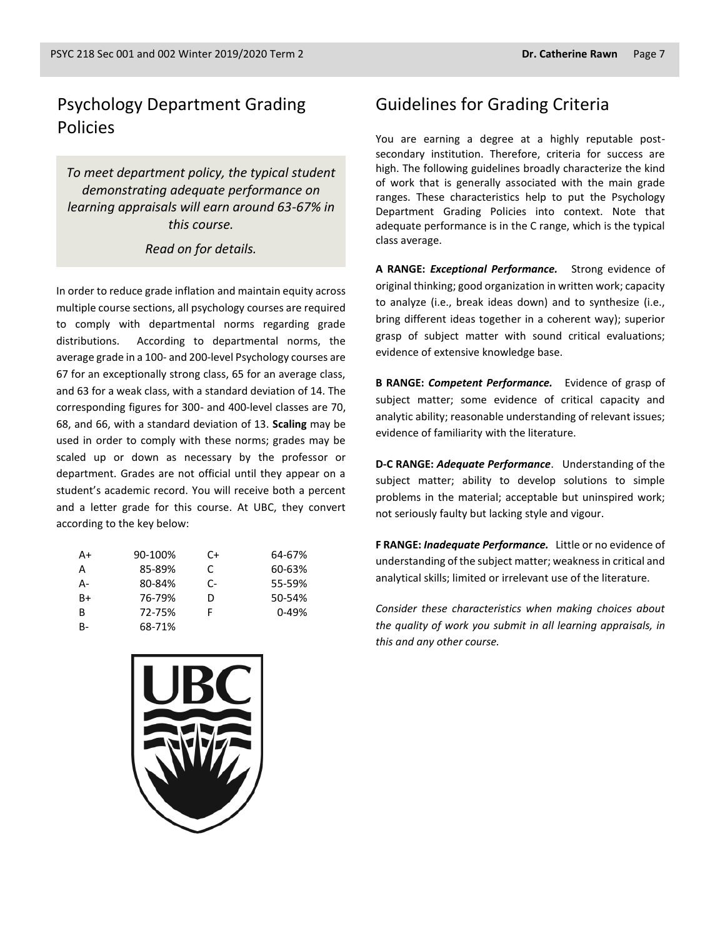### Psychology Department Grading Policies

*To meet department policy, the typical student demonstrating adequate performance on learning appraisals will earn around 63-67% in this course.* 

#### *Read on for details.*

In order to reduce grade inflation and maintain equity across multiple course sections, all psychology courses are required to comply with departmental norms regarding grade distributions. According to departmental norms, the average grade in a 100- and 200-level Psychology courses are 67 for an exceptionally strong class, 65 for an average class, and 63 for a weak class, with a standard deviation of 14. The corresponding figures for 300- and 400-level classes are 70, 68, and 66, with a standard deviation of 13. **Scaling** may be used in order to comply with these norms; grades may be scaled up or down as necessary by the professor or department. Grades are not official until they appear on a student's academic record. You will receive both a percent and a letter grade for this course. At UBC, they convert according to the key below:

| A+        | 90-100% | C+ | 64-67%    |
|-----------|---------|----|-----------|
| A         | 85-89%  | C  | 60-63%    |
| А-        | 80-84%  | C- | 55-59%    |
| $B+$      | 76-79%  | D  | 50-54%    |
| B         | 72-75%  |    | $0 - 49%$ |
| <b>B-</b> | 68-71%  |    |           |



You are earning a degree at a highly reputable postsecondary institution. Therefore, criteria for success are high. The following guidelines broadly characterize the kind of work that is generally associated with the main grade ranges. These characteristics help to put the Psychology Department Grading Policies into context. Note that adequate performance is in the C range, which is the typical class average.

**A RANGE:** *Exceptional Performance.* Strong evidence of original thinking; good organization in written work; capacity to analyze (i.e., break ideas down) and to synthesize (i.e., bring different ideas together in a coherent way); superior grasp of subject matter with sound critical evaluations; evidence of extensive knowledge base.

**B RANGE:** *Competent Performance.* Evidence of grasp of subject matter; some evidence of critical capacity and analytic ability; reasonable understanding of relevant issues; evidence of familiarity with the literature.

**D-C RANGE:** *Adequate Performance*. Understanding of the subject matter; ability to develop solutions to simple problems in the material; acceptable but uninspired work; not seriously faulty but lacking style and vigour.

**F RANGE:** *Inadequate Performance.* Little or no evidence of understanding of the subject matter; weakness in critical and analytical skills; limited or irrelevant use of the literature.

*Consider these characteristics when making choices about the quality of work you submit in all learning appraisals, in this and any other course.*

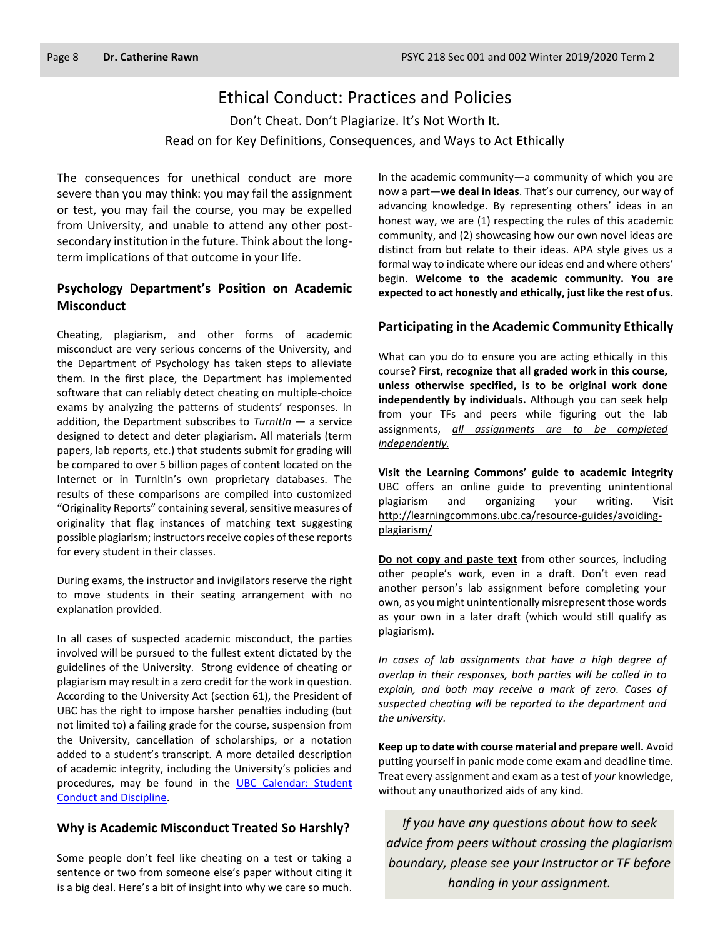### Ethical Conduct: Practices and Policies

Don't Cheat. Don't Plagiarize. It's Not Worth It. Read on for Key Definitions, Consequences, and Ways to Act Ethically

The consequences for unethical conduct are more severe than you may think: you may fail the assignment or test, you may fail the course, you may be expelled from University, and unable to attend any other postsecondary institution in the future. Think about the longterm implications of that outcome in your life.

#### **Psychology Department's Position on Academic Misconduct**

Cheating, plagiarism, and other forms of academic misconduct are very serious concerns of the University, and the Department of Psychology has taken steps to alleviate them. In the first place, the Department has implemented software that can reliably detect cheating on multiple-choice exams by analyzing the patterns of students' responses. In addition, the Department subscribes to *TurnItIn* — a service designed to detect and deter plagiarism. All materials (term papers, lab reports, etc.) that students submit for grading will be compared to over 5 billion pages of content located on the Internet or in TurnItIn's own proprietary databases. The results of these comparisons are compiled into customized "Originality Reports" containing several, sensitive measures of originality that flag instances of matching text suggesting possible plagiarism; instructors receive copies of these reports for every student in their classes.

During exams, the instructor and invigilators reserve the right to move students in their seating arrangement with no explanation provided.

In all cases of suspected academic misconduct, the parties involved will be pursued to the fullest extent dictated by the guidelines of the University. Strong evidence of cheating or plagiarism may result in a zero credit for the work in question. According to the University Act (section 61), the President of UBC has the right to impose harsher penalties including (but not limited to) a failing grade for the course, suspension from the University, cancellation of scholarships, or a notation added to a student's transcript. A more detailed description of academic integrity, including the University's policies and procedures, may be found in the UBC Calendar: Student [Conduct and Discipline.](http://www.calendar.ubc.ca/vancouver/index.cfm?tree=3,54,0,0)

#### **Why is Academic Misconduct Treated So Harshly?**

Some people don't feel like cheating on a test or taking a sentence or two from someone else's paper without citing it is a big deal. Here's a bit of insight into why we care so much. In the academic community—a community of which you are now a part—**we deal in ideas**. That's our currency, our way of advancing knowledge. By representing others' ideas in an honest way, we are (1) respecting the rules of this academic community, and (2) showcasing how our own novel ideas are distinct from but relate to their ideas. APA style gives us a formal way to indicate where our ideas end and where others' begin. **Welcome to the academic community. You are expected to act honestly and ethically, just like the rest of us.**

#### **Participating in the Academic Community Ethically**

What can you do to ensure you are acting ethically in this course? **First, recognize that all graded work in this course, unless otherwise specified, is to be original work done independently by individuals.** Although you can seek help from your TFs and peers while figuring out the lab assignments, *all assignments are to be completed independently.*

**Visit the Learning Commons' guide to academic integrity**  UBC offers an online guide to preventing unintentional plagiarism and organizing your writing. Visit [http://learningcommons.ubc.ca/resource-guides/avoiding](http://learningcommons.ubc.ca/resource-guides/avoiding-plagiarism/)[plagiarism/](http://learningcommons.ubc.ca/resource-guides/avoiding-plagiarism/)

**Do not copy and paste text** from other sources, including other people's work, even in a draft. Don't even read another person's lab assignment before completing your own, as you might unintentionally misrepresent those words as your own in a later draft (which would still qualify as plagiarism).

*In cases of lab assignments that have a high degree of overlap in their responses, both parties will be called in to explain, and both may receive a mark of zero. Cases of suspected cheating will be reported to the department and the university.*

**Keep up to date with course material and prepare well.** Avoid putting yourself in panic mode come exam and deadline time. Treat every assignment and exam as a test of *your* knowledge, without any unauthorized aids of any kind.

*If you have any questions about how to seek advice from peers without crossing the plagiarism boundary, please see your Instructor or TF before handing in your assignment.*